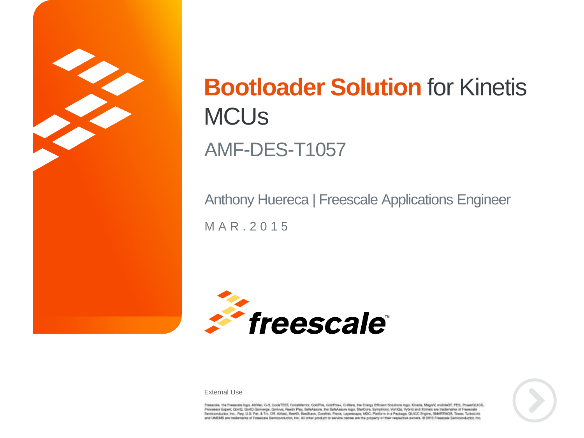

# **Bootloader Solution** for Kinetis **MCU<sub>s</sub>** AMF-DES-T1057

M A R . 2 0 1 5 Anthony Huereca | Freescale Applications Engineer





External Use

Francole. the Freesome logo, AllVec, C-5, CodeTEST, CodeWertor, ColdFire, ColdFire-, C-Ware, the Emroy Efficient Solutions logo, Khedia, Magniti, midself, PES, PowerDLACC,<br>Processor Expert, Quel2, Gord, Quewege, Davive, Ne and UMEMS are trademarks of Freescale Bentcombator, Inc. All other product or service rolmes are the property of their respective owners. @ 2015 Freescale Bentconductor, Inc.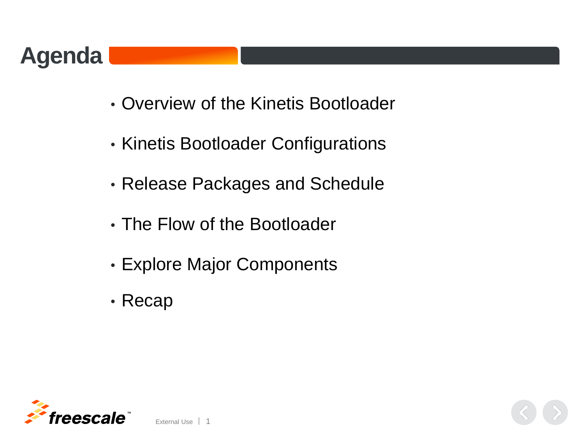

- Overview of the Kinetis Bootloader
- Kinetis Bootloader Configurations
- Release Packages and Schedule
- The Flow of the Bootloader
- Explore Major Components
- Recap

External Use 1

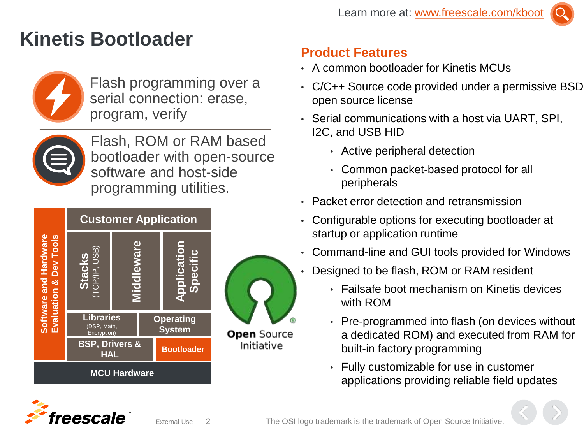## **Kinetis Bootloader**



Flash programming over a serial connection: erase, program, verify



Flash, ROM or RAM based bootloader with open-source software and host-side programming utilities.



#### **Product Features**

- A common bootloader for Kinetis MCUs
- C/C++ Source code provided under a permissive BSD open source license
- Serial communications with a host via UART, SPI, I2C, and USB HID
	- Active peripheral detection
	- Common packet-based protocol for all peripherals
- Packet error detection and retransmission
- Configurable options for executing bootloader at startup or application runtime
- Command-line and GUI tools provided for Windows
- Designed to be flash, ROM or RAM resident
	- Failsafe boot mechanism on Kinetis devices with ROM
	- Pre-programmed into flash (on devices without a dedicated ROM) and executed from RAM for built-in factory programming
	- Fully customizable for use in customer applications providing reliable field updates





**TM**

eescale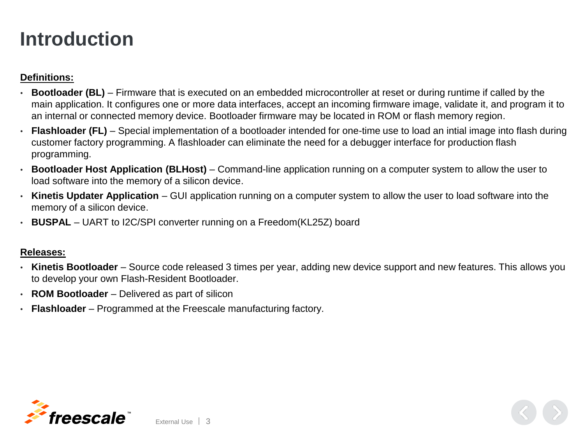#### **Introduction**

#### **Definitions:**

- **Bootloader (BL)** Firmware that is executed on an embedded microcontroller at reset or during runtime if called by the main application. It configures one or more data interfaces, accept an incoming firmware image, validate it, and program it to an internal or connected memory device. Bootloader firmware may be located in ROM or flash memory region.
- **Flashloader (FL)** Special implementation of a bootloader intended for one-time use to load an intial image into flash during customer factory programming. A flashloader can eliminate the need for a debugger interface for production flash programming.
- **Bootloader Host Application (BLHost)**  Command-line application running on a computer system to allow the user to load software into the memory of a silicon device.
- **Kinetis Updater Application** GUI application running on a computer system to allow the user to load software into the memory of a silicon device.
- **BUSPAL** UART to I2C/SPI converter running on a Freedom(KL25Z) board

#### **Releases:**

- **Kinetis Bootloader** Source code released 3 times per year, adding new device support and new features. This allows you to develop your own Flash-Resident Bootloader.
- **ROM Bootloader** Delivered as part of silicon
- **Flashloader** Programmed at the Freescale manufacturing factory.

External Use  $\frac{1}{3}$ 

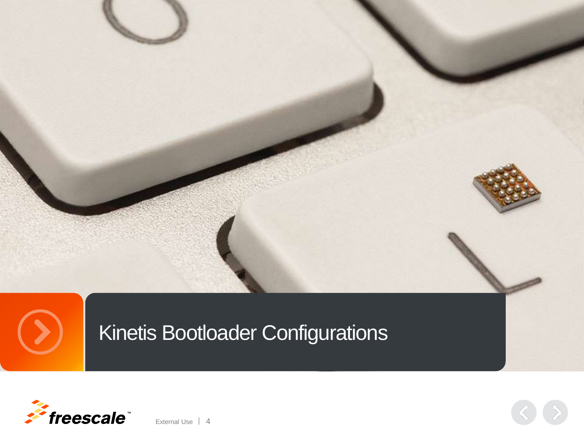

Kinetis Bootloader Configurations



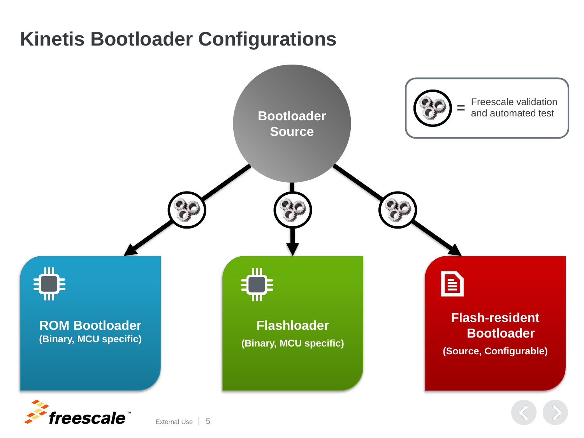# **Kinetis Bootloader Configurations**



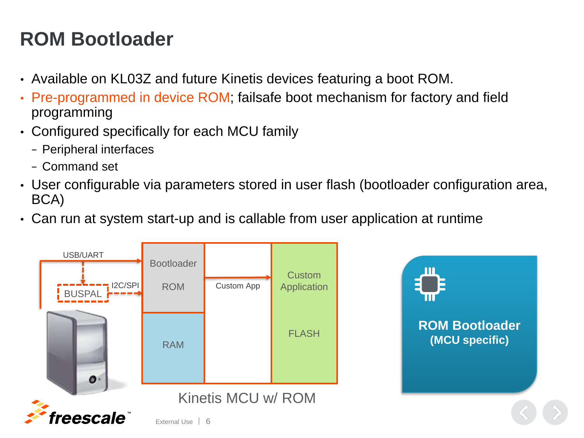# **ROM Bootloader**

- Available on KL03Z and future Kinetis devices featuring a boot ROM.
- Pre-programmed in device ROM; failsafe boot mechanism for factory and field programming
- Configured specifically for each MCU family
	- − Peripheral interfaces
	- − Command set
- User configurable via parameters stored in user flash (bootloader configuration area, BCA)

**ROM Bootloader (MCU specific)**

• Can run at system start-up and is callable from user application at runtime

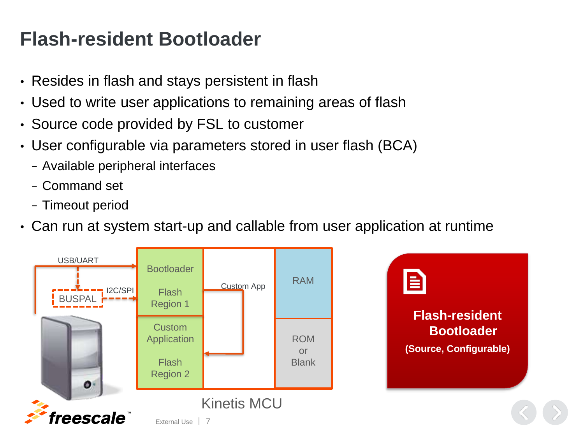## **Flash-resident Bootloader**

- Resides in flash and stays persistent in flash
- Used to write user applications to remaining areas of flash
- Source code provided by FSL to customer
- User configurable via parameters stored in user flash (BCA)
	- − Available peripheral interfaces
	- − Command set
	- − Timeout period
- Can run at system start-up and callable from user application at runtime

**Flash-resident** 

**(Source, Configurable)**

**Bootloader**

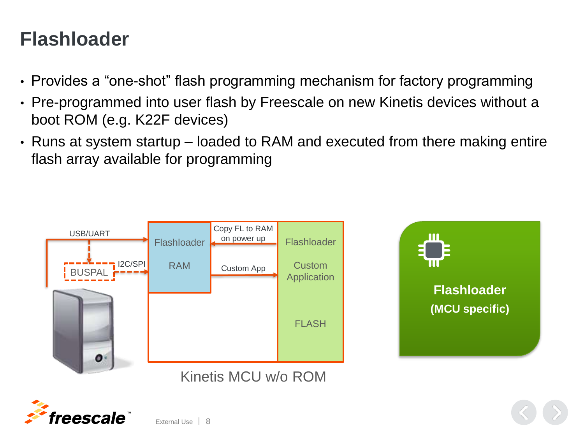## **Flashloader**

- Provides a "one-shot" flash programming mechanism for factory programming
- Pre-programmed into user flash by Freescale on new Kinetis devices without a boot ROM (e.g. K22F devices)
- Runs at system startup loaded to RAM and executed from there making entire flash array available for programming





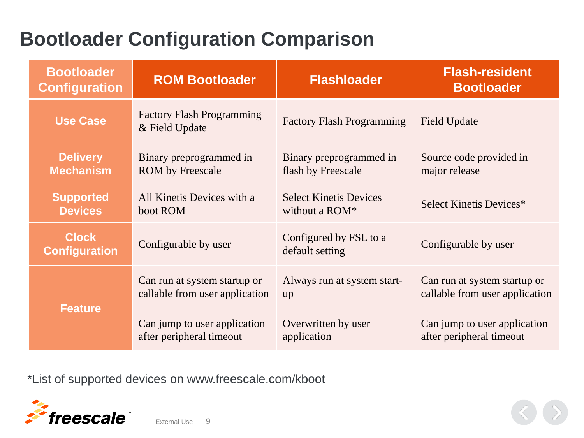# **Bootloader Configuration Comparison**

| <b>Bootloader</b><br><b>Configuration</b>                                    | <b>ROM Bootloader</b>                                          | <b>Flashloader</b>                              | <b>Flash-resident</b><br><b>Bootloader</b>                     |  |
|------------------------------------------------------------------------------|----------------------------------------------------------------|-------------------------------------------------|----------------------------------------------------------------|--|
| <b>Use Case</b>                                                              | <b>Factory Flash Programming</b><br>& Field Update             | <b>Factory Flash Programming</b>                | <b>Field Update</b>                                            |  |
| <b>Delivery</b><br><b>Mechanism</b>                                          | Binary preprogrammed in<br><b>ROM</b> by Freescale             | Binary preprogrammed in<br>flash by Freescale   | Source code provided in<br>major release                       |  |
| <b>Supported</b><br>All Kinetis Devices with a<br><b>Devices</b><br>boot ROM |                                                                | <b>Select Kinetis Devices</b><br>without a ROM* | Select Kinetis Devices*                                        |  |
| <b>Clock</b><br>Configurable by user<br><b>Configuration</b>                 |                                                                | Configured by FSL to a<br>default setting       | Configurable by user                                           |  |
| <b>Feature</b>                                                               | Can run at system startup or<br>callable from user application | Always run at system start-<br>up               | Can run at system startup or<br>callable from user application |  |
|                                                                              | Can jump to user application<br>after peripheral timeout       | Overwritten by user<br>application              | Can jump to user application<br>after peripheral timeout       |  |

\*List of supported devices on www.freescale.com/kboot

External Use  $\vert$  9

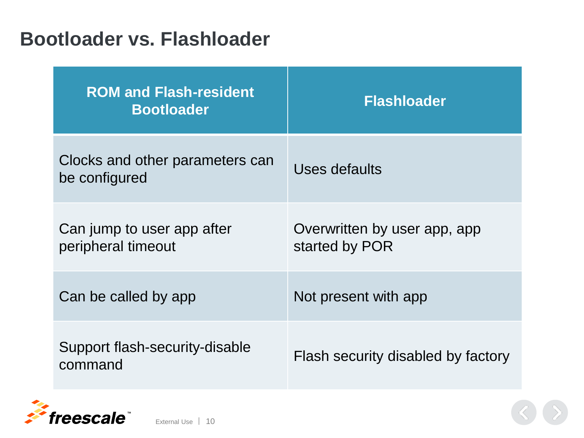#### **Bootloader vs. Flashloader**

| <b>ROM and Flash-resident</b><br><b>Bootloader</b> | <b>Flashloader</b>                             |
|----------------------------------------------------|------------------------------------------------|
| Clocks and other parameters can<br>be configured   | Uses defaults                                  |
| Can jump to user app after<br>peripheral timeout   | Overwritten by user app, app<br>started by POR |
| Can be called by app                               | Not present with app                           |
| Support flash-security-disable<br>command          | Flash security disabled by factory             |

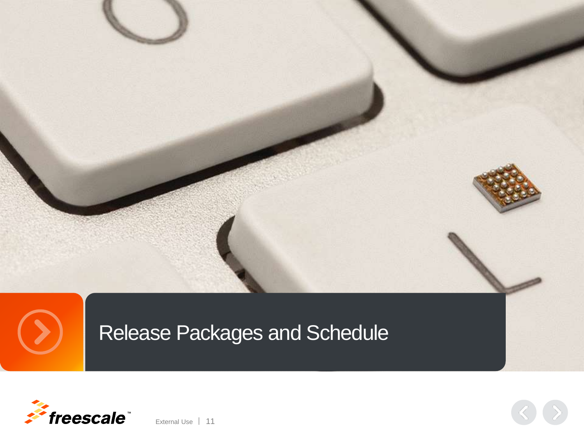

Release Packages and Schedule

External Use | 11

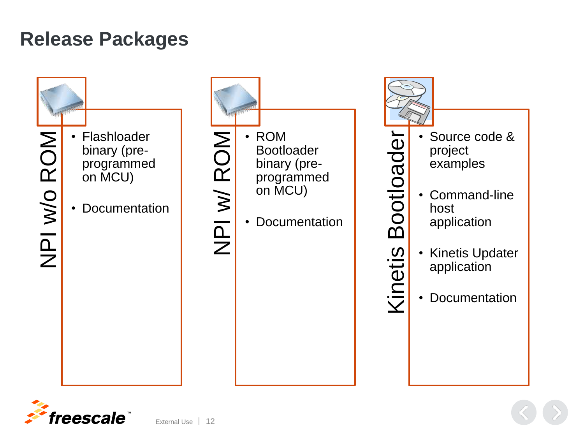#### **Release Packages**



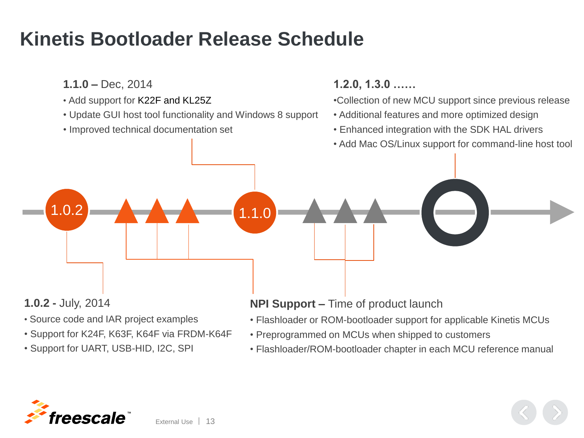#### **Kinetis Bootloader Release Schedule**

**1.1.0 –** Dec, 2014

- Add support for K22F and KL25Z
- Update GUI host tool functionality and Windows 8 support

 $1.1.0$ 

• Improved technical documentation set

#### **1.2.0, 1.3.0 ……**

•Collection of new MCU support since previous release

- Additional features and more optimized design
- Enhanced integration with the SDK HAL drivers
- Add Mac OS/Linux support for command-line host tool

**1.0.2 -** July, 2014

1.0.2

- Source code and IAR project examples
- Support for K24F, K63F, K64F via FRDM-K64F
- Support for UART, USB-HID, I2C, SPI

#### **NPI Support –** Time of product launch

- Flashloader or ROM-bootloader support for applicable Kinetis MCUs
- Preprogrammed on MCUs when shipped to customers
- Flashloader/ROM-bootloader chapter in each MCU reference manual

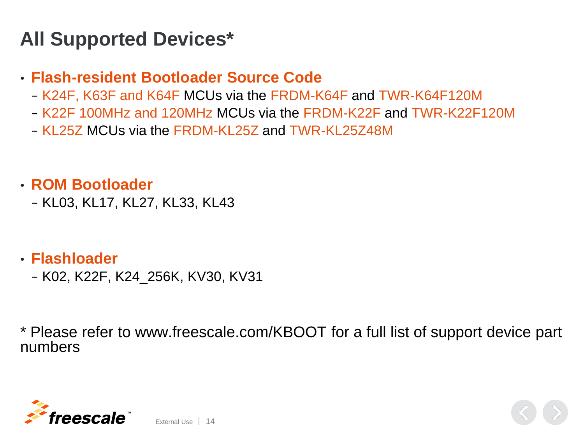## **All Supported Devices\***

#### • **Flash-resident Bootloader Source Code**

- − K24F, K63F and K64F MCUs via the FRDM-K64F and TWR-K64F120M
- − K22F 100MHz and 120MHz MCUs via the FRDM-K22F and TWR-K22F120M
- − KL25Z MCUs via the FRDM-KL25Z and TWR-KL25Z48M

#### • **ROM Bootloader**

− KL03, KL17, KL27, KL33, KL43

#### • **Flashloader**

− K02, K22F, K24\_256K, KV30, KV31

\* Please refer to www.freescale.com/KBOOT for a full list of support device part numbers

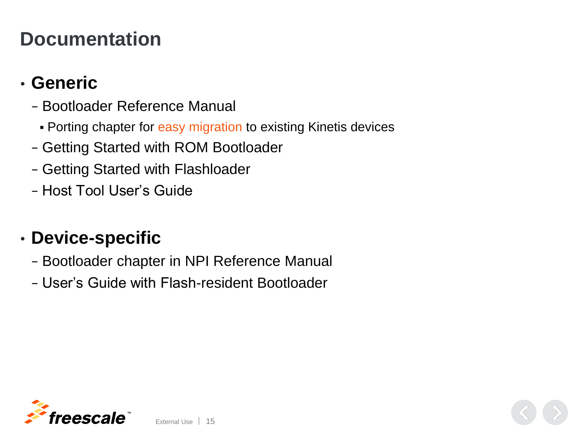#### **Documentation**

#### • **Generic**

- − Bootloader Reference Manual
	- Porting chapter for easy migration to existing Kinetis devices
- − Getting Started with ROM Bootloader
- − Getting Started with Flashloader
- − Host Tool User's Guide

#### • **Device-specific**

- − Bootloader chapter in NPI Reference Manual
- − User's Guide with Flash-resident Bootloader

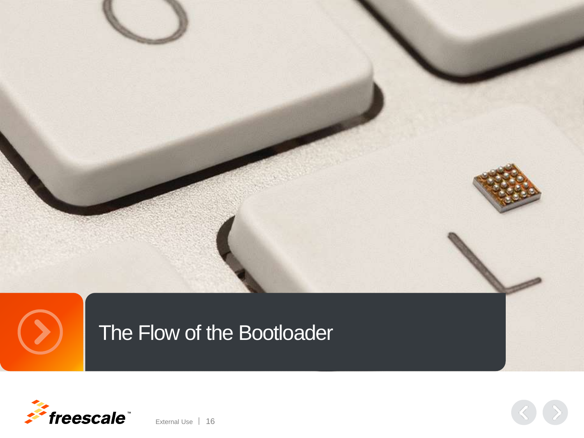

# The Flow of the Bootloader



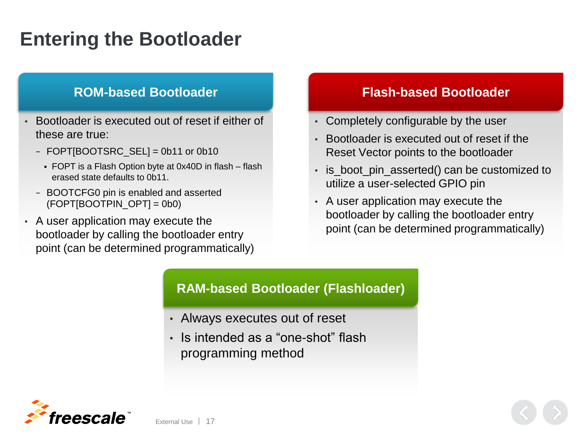## **Entering the Bootloader**

- Bootloader is executed out of reset if either of these are true:
	- − FOPT[BOOTSRC\_SEL] = 0b11 or 0b10
		- FOPT is a Flash Option byte at 0x40D in flash flash erased state defaults to 0b11.
	- − BOOTCFG0 pin is enabled and asserted  $(FOPT[BOOTPIN~OPT] = 0b0)$
- A user application may execute the bootloader by calling the bootloader entry point (can be determined programmatically)

External Use 17

#### **ROM-based Bootloader Flash-based Bootloader**

- Completely configurable by the user
- Bootloader is executed out of reset if the Reset Vector points to the bootloader
- is\_boot\_pin\_asserted() can be customized to utilize a user-selected GPIO pin
- A user application may execute the bootloader by calling the bootloader entry point (can be determined programmatically)

#### **RAM-based Bootloader (Flashloader)**

- Always executes out of reset
- Is intended as a "one-shot" flash programming method

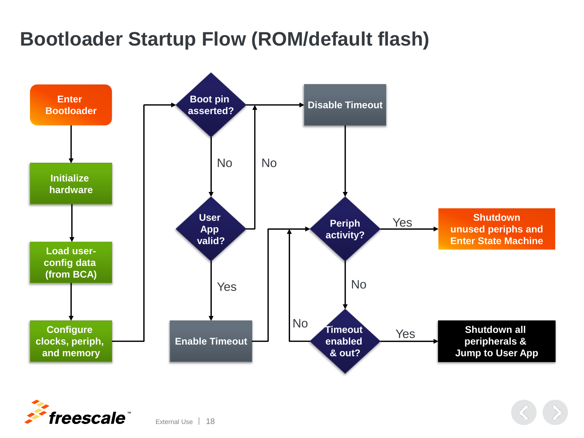# **Bootloader Startup Flow (ROM/default flash)**



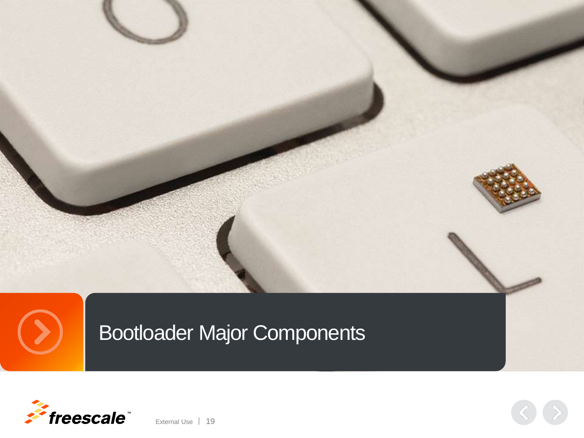





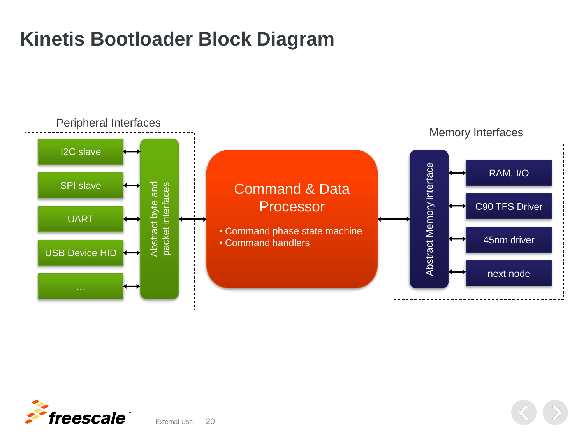# **Kinetis Bootloader Block Diagram**





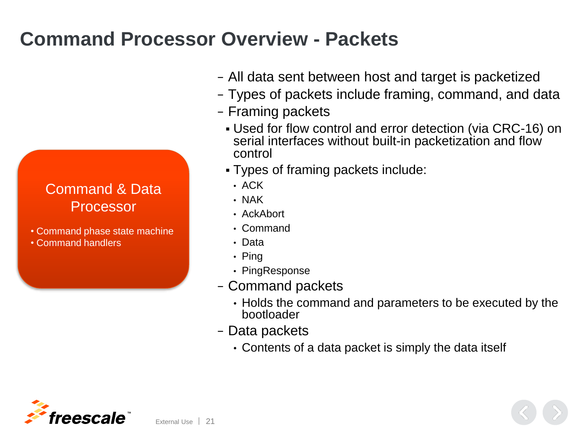## **Command Processor Overview - Packets**

#### Command & Data Processor

- Command phase state machine
- Command handlers
- − All data sent between host and target is packetized
- − Types of packets include framing, command, and data
- − Framing packets
	- Used for flow control and error detection (via CRC-16) on serial interfaces without built-in packetization and flow control
	- Types of framing packets include:
		- ACK
		- NAK
		- AckAbort
		- Command
		- Data
		- Ping
		- PingResponse
- − Command packets
	- Holds the command and parameters to be executed by the bootloader
- − Data packets
	- Contents of a data packet is simply the data itself

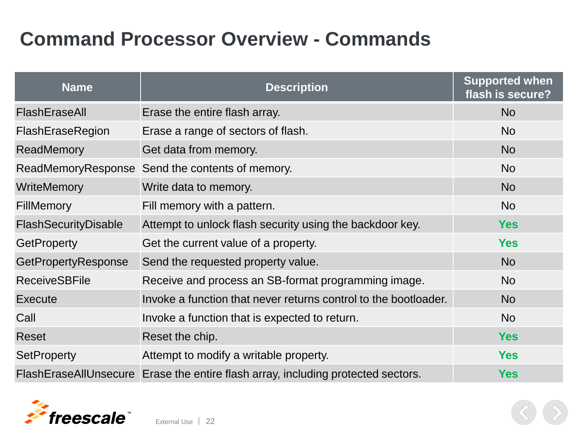## **Command Processor Overview - Commands**

| <b>Name</b>          | <b>Description</b>                                                               | <b>Supported when</b><br>flash is secure? |
|----------------------|----------------------------------------------------------------------------------|-------------------------------------------|
| FlashEraseAll        | Erase the entire flash array.                                                    | <b>No</b>                                 |
| FlashEraseRegion     | Erase a range of sectors of flash.                                               | <b>No</b>                                 |
| ReadMemory           | Get data from memory.                                                            | <b>No</b>                                 |
|                      | ReadMemoryResponse Send the contents of memory.                                  | <b>No</b>                                 |
| <b>WriteMemory</b>   | Write data to memory.                                                            | <b>No</b>                                 |
| <b>FillMemory</b>    | Fill memory with a pattern.                                                      | <b>No</b>                                 |
| FlashSecurityDisable | Attempt to unlock flash security using the backdoor key.                         | <b>Yes</b>                                |
| <b>GetProperty</b>   | Get the current value of a property.                                             | <b>Yes</b>                                |
| GetPropertyResponse  | Send the requested property value.                                               | <b>No</b>                                 |
| <b>ReceiveSBFile</b> | Receive and process an SB-format programming image.                              | <b>No</b>                                 |
| Execute              | Invoke a function that never returns control to the bootloader.                  | <b>No</b>                                 |
| Call                 | Invoke a function that is expected to return.                                    | <b>No</b>                                 |
| Reset                | Reset the chip.                                                                  | <b>Yes</b>                                |
| <b>SetProperty</b>   | Attempt to modify a writable property.                                           | <b>Yes</b>                                |
|                      | FlashEraseAllUnsecure Erase the entire flash array, including protected sectors. | <b>Yes</b>                                |

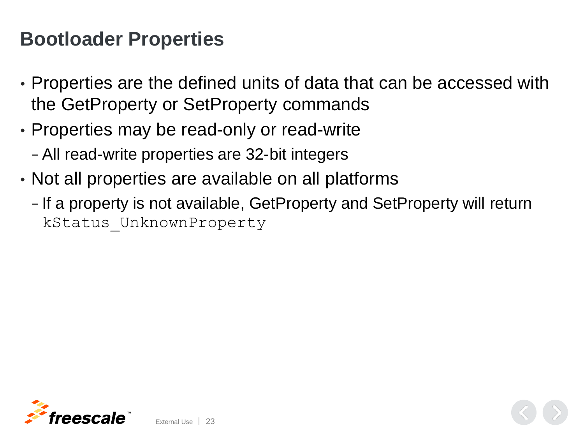#### **Bootloader Properties**

- Properties are the defined units of data that can be accessed with the GetProperty or SetProperty commands
- Properties may be read-only or read-write
	- − All read-write properties are 32-bit integers

External Use 23

- Not all properties are available on all platforms
	- − If a property is not available, GetProperty and SetProperty will return kStatus\_UnknownProperty

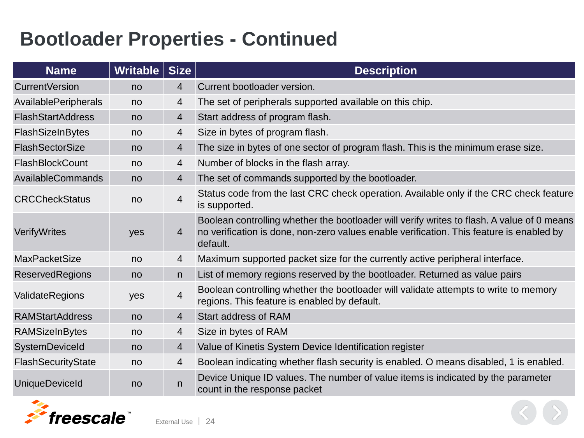## **Bootloader Properties - Continued**

| <b>Name</b>              | Writable | <b>Size</b>    | <b>Description</b>                                                                                                                                                                                 |
|--------------------------|----------|----------------|----------------------------------------------------------------------------------------------------------------------------------------------------------------------------------------------------|
| <b>CurrentVersion</b>    | no       | $\overline{4}$ | Current bootloader version.                                                                                                                                                                        |
| AvailablePeripherals     | no       | 4              | The set of peripherals supported available on this chip.                                                                                                                                           |
| <b>FlashStartAddress</b> | no       | 4              | Start address of program flash.                                                                                                                                                                    |
| FlashSizeInBytes         | no       | 4              | Size in bytes of program flash.                                                                                                                                                                    |
| <b>FlashSectorSize</b>   | no       | 4              | The size in bytes of one sector of program flash. This is the minimum erase size.                                                                                                                  |
| <b>FlashBlockCount</b>   | no       | 4              | Number of blocks in the flash array.                                                                                                                                                               |
| AvailableCommands        | no       | 4              | The set of commands supported by the bootloader.                                                                                                                                                   |
| <b>CRCCheckStatus</b>    | no       | 4              | Status code from the last CRC check operation. Available only if the CRC check feature<br>is supported.                                                                                            |
| VerifyWrites             | yes      | 4              | Boolean controlling whether the bootloader will verify writes to flash. A value of 0 means<br>no verification is done, non-zero values enable verification. This feature is enabled by<br>default. |
| <b>MaxPacketSize</b>     | no       | 4              | Maximum supported packet size for the currently active peripheral interface.                                                                                                                       |
| <b>ReservedRegions</b>   | no       | n.             | List of memory regions reserved by the bootloader. Returned as value pairs                                                                                                                         |
| ValidateRegions          | yes      | 4              | Boolean controlling whether the bootloader will validate attempts to write to memory<br>regions. This feature is enabled by default.                                                               |
| <b>RAMStartAddress</b>   | no       | 4              | <b>Start address of RAM</b>                                                                                                                                                                        |
| <b>RAMSizeInBytes</b>    | no       | 4              | Size in bytes of RAM                                                                                                                                                                               |
| SystemDeviceId           | no       | 4              | Value of Kinetis System Device Identification register                                                                                                                                             |
| FlashSecurityState       | no       | 4              | Boolean indicating whether flash security is enabled. O means disabled, 1 is enabled.                                                                                                              |
| <b>UniqueDeviceId</b>    | no       | n              | Device Unique ID values. The number of value items is indicated by the parameter<br>count in the response packet                                                                                   |

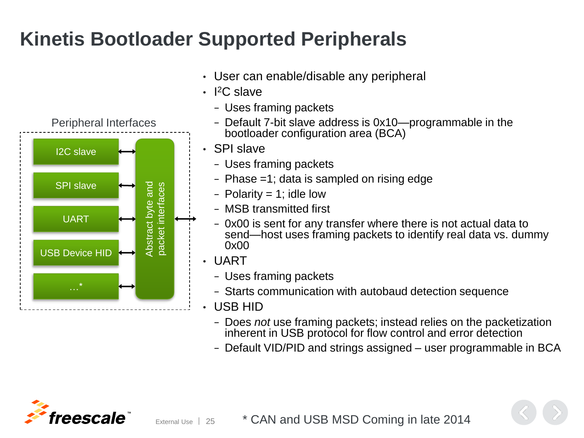# **Kinetis Bootloader Supported Peripherals**

- Peripheral Interfaces I2C slave Abstract byte and SPI slave Abstract byte and packet interfaces packet interfaces UART USB Device HID
- User can enable/disable any peripheral
- I <sup>2</sup>C slave
	- − Uses framing packets
	- − Default 7-bit slave address is 0x10—programmable in the bootloader configuration area (BCA)
	- SPI slave
		- − Uses framing packets
		- − Phase =1; data is sampled on rising edge
		- − Polarity = 1; idle low
		- − MSB transmitted first
		- − 0x00 is sent for any transfer where there is not actual data to send—host uses framing packets to identify real data vs. dummy 0x00
	- UART
		- − Uses framing packets
		- − Starts communication with autobaud detection sequence
	- USB HID
		- − Does *not* use framing packets; instead relies on the packetization inherent in USB protocol for flow control and error detection
		- − Default VID/PID and strings assigned user programmable in BCA



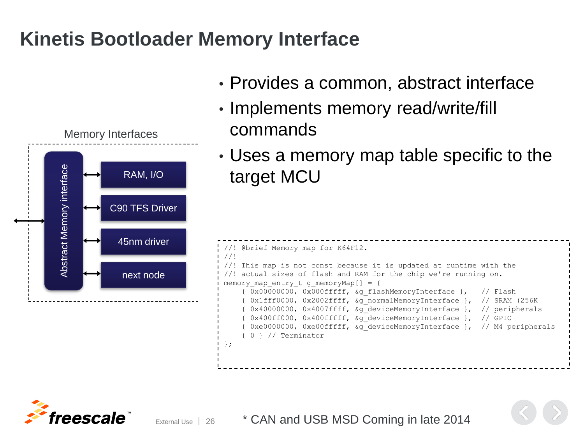#### **Kinetis Bootloader Memory Interface**



- Provides a common, abstract interface
- Implements memory read/write/fill commands
- Uses a memory map table specific to the target MCU

```
//! @brief Memory map for K64F12.
//!
//! This map is not const because it is updated at runtime with the
//! actual sizes of flash and RAM for the chip we're running on.
memory map entry t g memoryMap[] = {
    { 0x00000000, 0x000fffff, &g_flashMemoryInterface }, // Flash
     0x1fff0000, 0x2002ffff, &g_normalMemoryInterface }, // SRAM (256K)
     0x40000000, 0x4007ffff, &g_deviceMemoryInterface }, // peripherals
     0x400ff000, 0x400fffff, &g deviceMemoryInterface }, // GPIO
     0xe0000000, 0xe00fffff, &g_deviceMemoryInterface }, // M4 peripherals
    { 0 } // Terminator
};
```
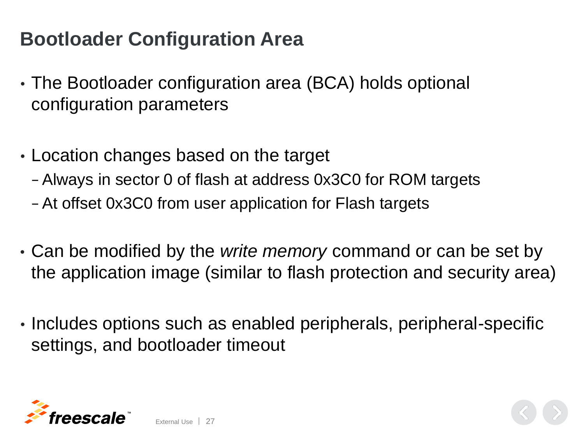## **Bootloader Configuration Area**

- The Bootloader configuration area (BCA) holds optional configuration parameters
- Location changes based on the target

External Use | 27

- − Always in sector 0 of flash at address 0x3C0 for ROM targets
- − At offset 0x3C0 from user application for Flash targets
- Can be modified by the *write memory* command or can be set by the application image (similar to flash protection and security area)
- Includes options such as enabled peripherals, peripheral-specific settings, and bootloader timeout

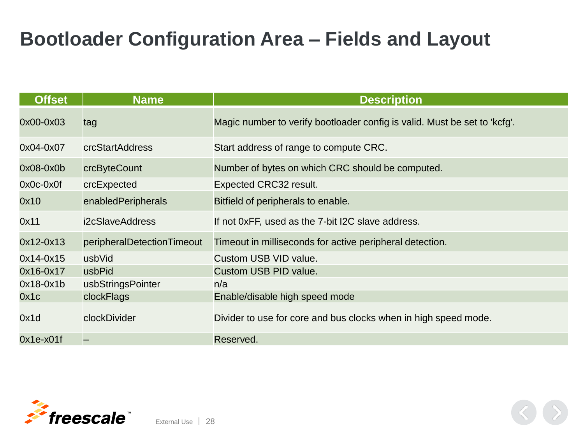## **Bootloader Configuration Area – Fields and Layout**

| <b>Offset</b> | <b>Name</b>                | <b>Description</b>                                                        |
|---------------|----------------------------|---------------------------------------------------------------------------|
| 0x00-0x03     | tag                        | Magic number to verify bootloader config is valid. Must be set to 'kcfg'. |
| 0x04-0x07     | crcStartAddress            | Start address of range to compute CRC.                                    |
| $0x08-0x0b$   | crcByteCount               | Number of bytes on which CRC should be computed.                          |
| $0x0c-0x0f$   | crcExpected                | Expected CRC32 result.                                                    |
| 0x10          | enabledPeripherals         | Bitfield of peripherals to enable.                                        |
| 0x11          | i2cSlaveAddress            | If not 0xFF, used as the 7-bit I2C slave address.                         |
| $0x12-0x13$   | peripheralDetectionTimeout | Timeout in milliseconds for active peripheral detection.                  |
| $0x14-0x15$   | usbVid                     | Custom USB VID value.                                                     |
| $0x16-0x17$   | usbPid                     | Custom USB PID value.                                                     |
| $0x18-0x1b$   | usbStringsPointer          | n/a                                                                       |
| 0x1c          | clockFlags                 | Enable/disable high speed mode                                            |
| 0x1d          | clockDivider               | Divider to use for core and bus clocks when in high speed mode.           |
| $0x1e-x01f$   |                            | Reserved.                                                                 |

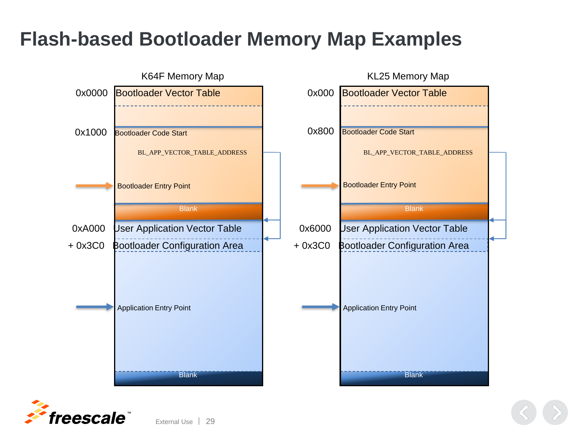#### **Flash-based Bootloader Memory Map Examples**



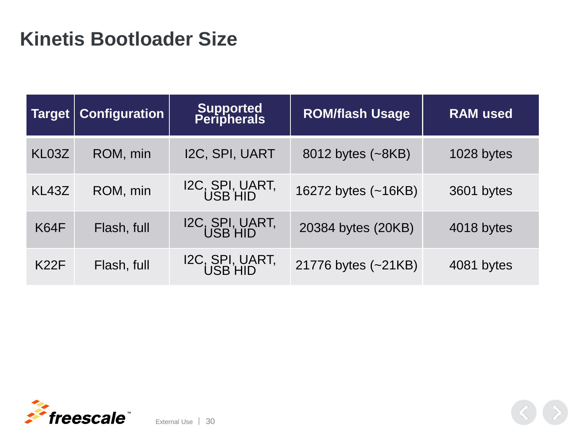#### **Kinetis Bootloader Size**

| <b>Target</b> | <b>Configuration</b> | Supported<br>Peripherals   | <b>ROM/flash Usage</b> | <b>RAM</b> used |
|---------------|----------------------|----------------------------|------------------------|-----------------|
| KL03Z         | ROM, min             | I2C, SPI, UART             | 8012 bytes (~8KB)      | 1028 bytes      |
| KL43Z         | ROM, min             | I2C, SPI, UART,<br>USB HID | 16272 bytes (~16KB)    | 3601 bytes      |
| K64F          | Flash, full          | I2C, SPI, UART,<br>USB HID | 20384 bytes (20KB)     | 4018 bytes      |
| <b>K22F</b>   | Flash, full          | I2C, SPI, UART,<br>USB HID | 21776 bytes (~21KB)    | 4081 bytes      |

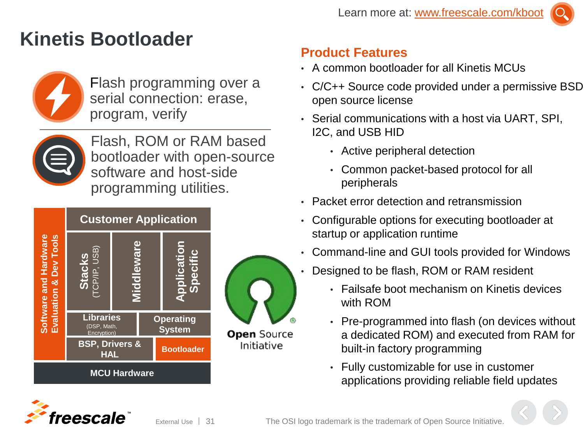## **Kinetis Bootloader**



Flash programming over a serial connection: erase, program, verify



Flash, ROM or RAM based bootloader with open-source software and host-side programming utilities.



#### **Product Features**

- A common bootloader for all Kinetis MCUs
- C/C++ Source code provided under a permissive BSD open source license
- Serial communications with a host via UART, SPI, I2C, and USB HID
	- Active peripheral detection
	- Common packet-based protocol for all peripherals
- Packet error detection and retransmission
- Configurable options for executing bootloader at startup or application runtime
- Command-line and GUI tools provided for Windows
- Designed to be flash, ROM or RAM resident
	- Failsafe boot mechanism on Kinetis devices with ROM
	- Pre-programmed into flash (on devices without a dedicated ROM) and executed from RAM for built-in factory programming
	- Fully customizable for use in customer applications providing reliable field updates

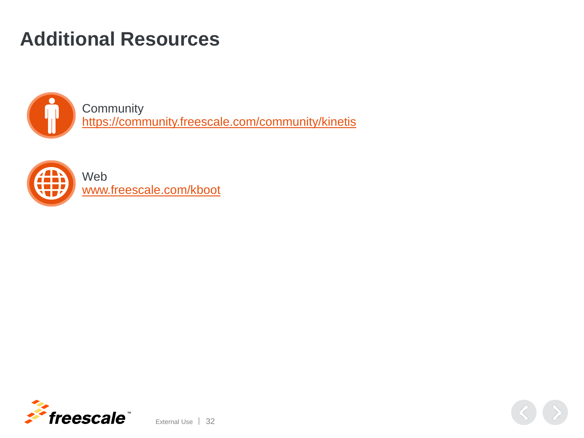## **Additional Resources**



**Community** <https://community.freescale.com/community/kinetis>



Web [www.freescale.com/kboot](http://www.freescale.com/kboot)